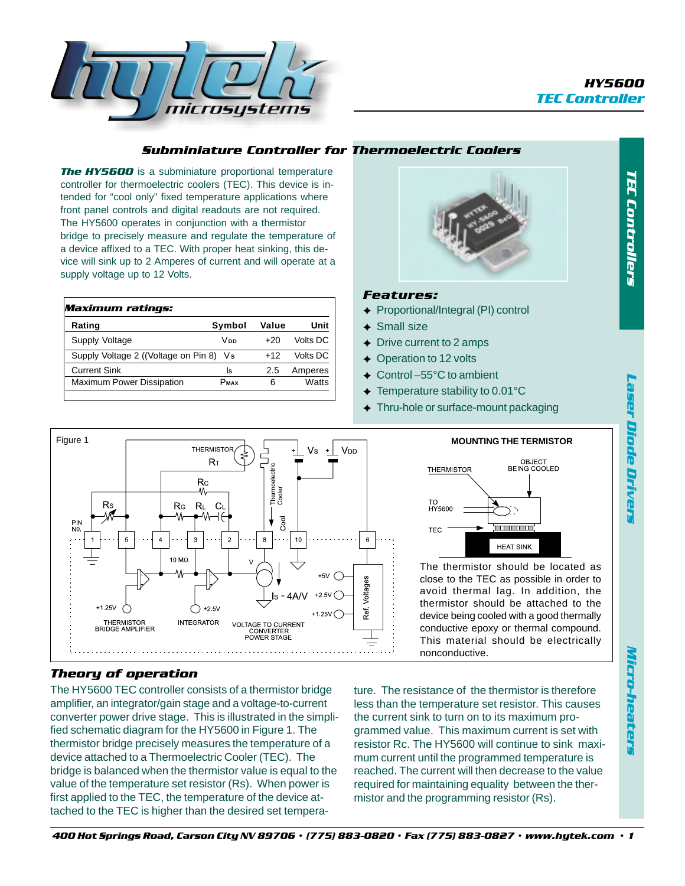

# *Subminiature Controller for Thermoelectric Coolers*

**The HY5600** is a subminiature proportional temperature controller for thermoelectric coolers (TEC). This device is intended for "cool only" fixed temperature applications where front panel controls and digital readouts are not required. The HY5600 operates in conjunction with a thermistor bridge to precisely measure and regulate the temperature of a device affixed to a TEC. With proper heat sinking, this device will sink up to 2 Amperes of current and will operate at a supply voltage up to 12 Volts.

| Maximum ratings:                     |             |       |          |
|--------------------------------------|-------------|-------|----------|
| Rating                               | Symbol      | Value | Unit     |
| Supply Voltage                       | Vnn         | +20   | Volts DC |
| Supply Voltage 2 ((Voltage on Pin 8) | Vs          | $+12$ | Volts DC |
| <b>Current Sink</b>                  | ls          | 2.5   | Amperes  |
| Maximum Power Dissipation            | <b>PMAX</b> | 6     | Watts    |
|                                      |             |       |          |



# *Features:*

- ✦ Proportional/Integral (PI) control
- ✦ Small size
- $\triangle$  Drive current to 2 amps
- ← Operation to 12 volts
- ✦ Control –55°C to ambient
- $\triangleleft$  Temperature stability to 0.01 $^{\circ}$ C
- ✦ Thru-hole or surface-mount packaging





The thermistor should be located as close to the TEC as possible in order to avoid thermal lag. In addition, the thermistor should be attached to the device being cooled with a good thermally conductive epoxy or thermal compound. This material should be electrically nonconductive.

# *Theory of operation*

The HY5600 TEC controller consists of a thermistor bridge amplifier, an integrator/gain stage and a voltage-to-current converter power drive stage. This is illustrated in the simplified schematic diagram for the HY5600 in Figure 1. The thermistor bridge precisely measures the temperature of a device attached to a Thermoelectric Cooler (TEC). The bridge is balanced when the thermistor value is equal to the value of the temperature set resistor (Rs). When power is first applied to the TEC, the temperature of the device attached to the TEC is higher than the desired set temperature. The resistance of the thermistor is therefore less than the temperature set resistor. This causes the current sink to turn on to its maximum programmed value. This maximum current is set with resistor Rc. The HY5600 will continue to sink maximum current until the programmed temperature is reached. The current will then decrease to the value required for maintaining equality between the thermistor and the programming resistor (Rs).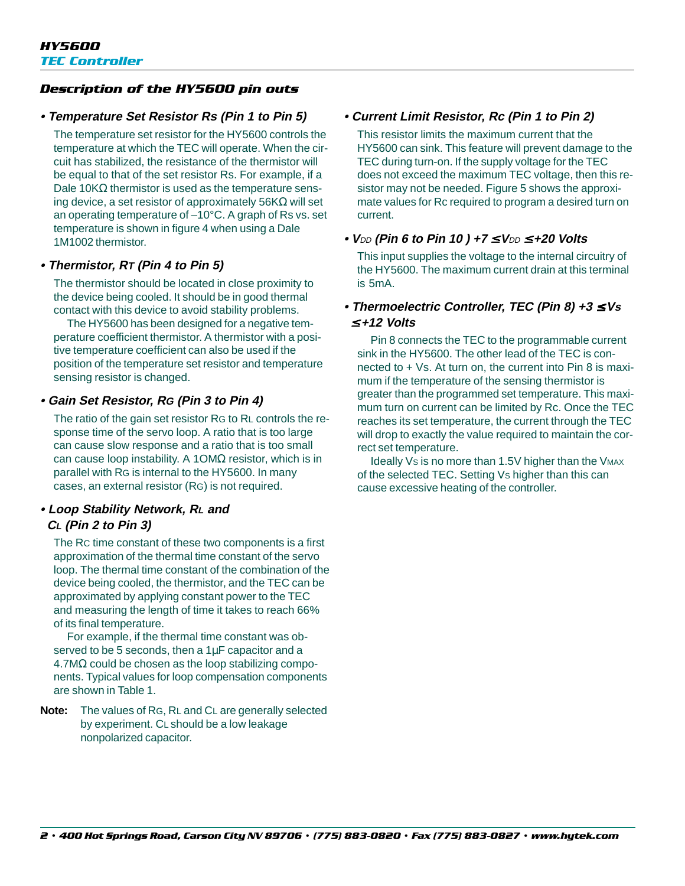# *Description of the HY5600 pin outs*

#### **• Temperature Set Resistor Rs (Pin 1 to Pin 5)**

The temperature set resistor for the HY5600 controls the temperature at which the TEC will operate. When the circuit has stabilized, the resistance of the thermistor will be equal to that of the set resistor Rs. For example, if a Dale 10K $\Omega$  thermistor is used as the temperature sensing device, a set resistor of approximately 56KΩ will set an operating temperature of –10°C. A graph of Rs vs. set temperature is shown in figure 4 when using a Dale 1M1002 thermistor.

## **• Thermistor, RT (Pin 4 to Pin 5)**

The thermistor should be located in close proximity to the device being cooled. It should be in good thermal contact with this device to avoid stability problems.

The HY5600 has been designed for a negative temperature coefficient thermistor. A thermistor with a positive temperature coefficient can also be used if the position of the temperature set resistor and temperature sensing resistor is changed.

#### **• Gain Set Resistor, RG (Pin 3 to Pin 4)**

The ratio of the gain set resistor RG to RL controls the response time of the servo loop. A ratio that is too large can cause slow response and a ratio that is too small can cause loop instability. A 1OMΩ resistor, which is in parallel with RG is internal to the HY5600. In many cases, an external resistor (RG) is not required.

#### **• Loop Stability Network, RL and CL (Pin 2 to Pin 3)**

The RC time constant of these two components is a first approximation of the thermal time constant of the servo loop. The thermal time constant of the combination of the device being cooled, the thermistor, and the TEC can be approximated by applying constant power to the TEC and measuring the length of time it takes to reach 66% of its final temperature.

For example, if the thermal time constant was observed to be 5 seconds, then a 1µF capacitor and a  $4.7M\Omega$  could be chosen as the loop stabilizing components. Typical values for loop compensation components are shown in Table 1.

#### **Note:** The values of RG, RL and CL are generally selected by experiment. CL should be a low leakage nonpolarized capacitor.

# **• Current Limit Resistor, Rc (Pin 1 to Pin 2)**

This resistor limits the maximum current that the HY5600 can sink. This feature will prevent damage to the TEC during turn-on. If the supply voltage for the TEC does not exceed the maximum TEC voltage, then this resistor may not be needed. Figure 5 shows the approximate values for Rc required to program a desired turn on current.

## **• V**DD **(Pin 6 to Pin 10 ) +7** ≤ **V**DD <sup>≤</sup> **+20 Volts**

This input supplies the voltage to the internal circuitry of the HY5600. The maximum current drain at this terminal is 5mA.

# **• Thermoelectric Controller, TEC (Pin 8) +3** ≤ **V<sup>s</sup>** ≤ **+12 Volts**

Pin 8 connects the TEC to the programmable current sink in the HY5600. The other lead of the TEC is connected to + Vs. At turn on, the current into Pin 8 is maximum if the temperature of the sensing thermistor is greater than the programmed set temperature. This maximum turn on current can be limited by Rc. Once the TEC reaches its set temperature, the current through the TEC will drop to exactly the value required to maintain the correct set temperature.

Ideally Vs is no more than 1.5V higher than the VMAX of the selected TEC. Setting Vs higher than this can cause excessive heating of the controller.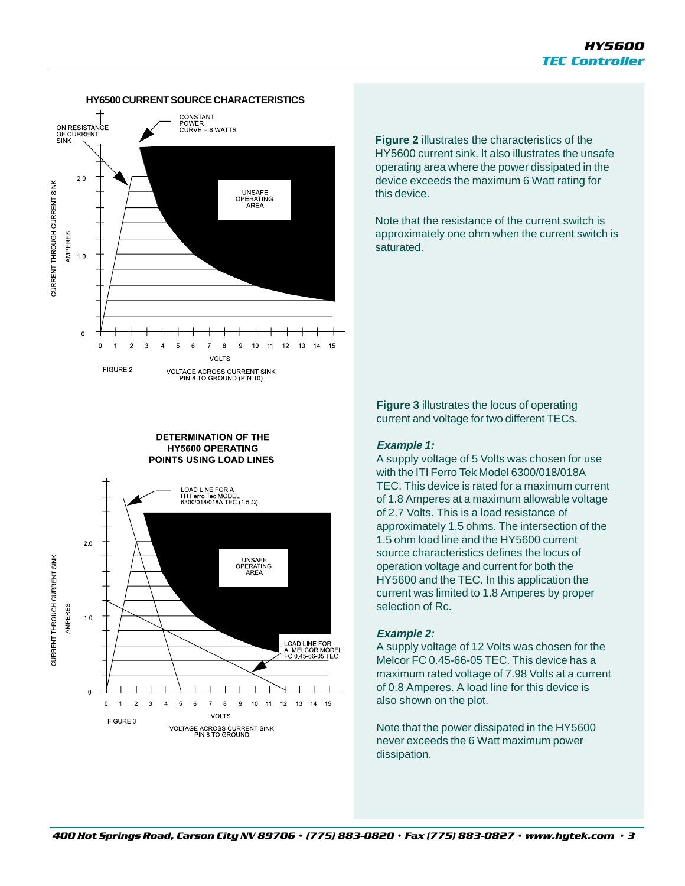

**Figure 2** illustrates the characteristics of the HY5600 current sink. It also illustrates the unsafe operating area where the power dissipated in the device exceeds the maximum 6 Watt rating for this device.

Note that the resistance of the current switch is approximately one ohm when the current switch is saturated.

#### **DETERMINATION OF THE HY5600 OPERATING** POINTS USING LOAD LINES



**Figure 3** illustrates the locus of operating current and voltage for two different TECs.

#### **Example 1:**

A supply voltage of 5 Volts was chosen for use with the ITI Ferro Tek Model 6300/018/018A TEC. This device is rated for a maximum current of 1.8 Amperes at a maximum allowable voltage of 2.7 Volts. This is a load resistance of approximately 1.5 ohms. The intersection of the 1.5 ohm load line and the HY5600 current source characteristics defines the locus of operation voltage and current for both the HY5600 and the TEC. In this application the current was limited to 1.8 Amperes by proper selection of Rc.

#### **Example 2:**

A supply voltage of 12 Volts was chosen for the Melcor FC 0.45-66-05 TEC. This device has a maximum rated voltage of 7.98 Volts at a current of 0.8 Amperes. A load line for this device is also shown on the plot.

Note that the power dissipated in the HY5600 never exceeds the 6 Watt maximum power dissipation.